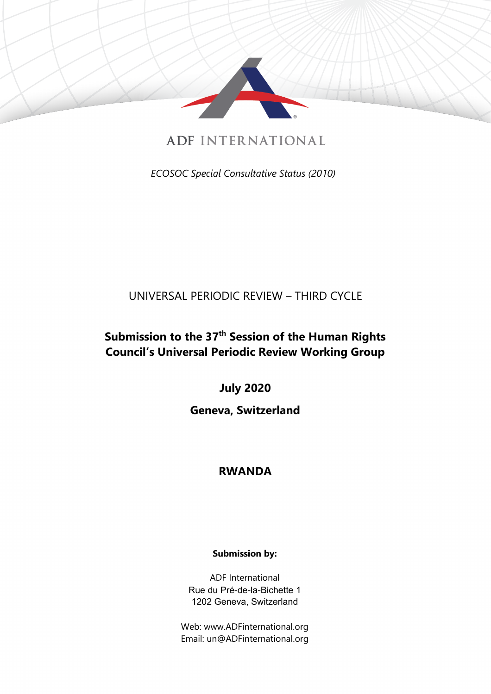

ADF INTERNATIONAL

*ECOSOC Special Consultative Status (2010)*

## UNIVERSAL PERIODIC REVIEW – THIRD CYCLE

# **Submission to the 37th Session of the Human Rights Council'<sup>s</sup> Universal Periodic Review Working Group**

**July 2020**

### **Geneva, Switzerland**

### **RWANDA**

### **Submission by:**

ADF International Rue du Pré-de-la-Bichette 1 1202 Geneva, Switzerland

Web: www.ADFinternational.org Email: un@ADFinternational.org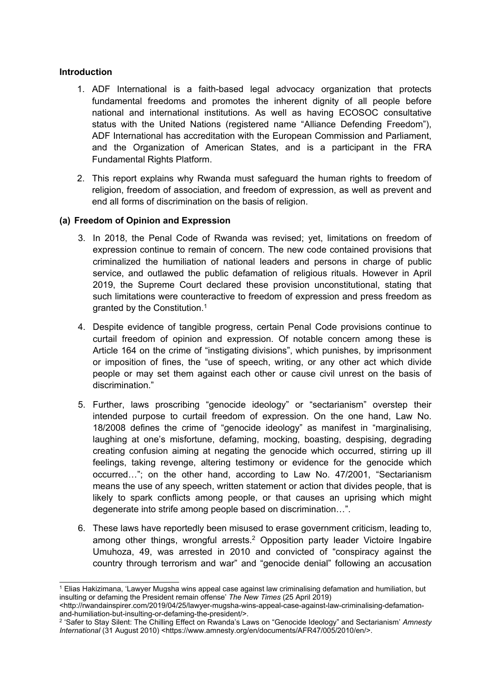#### **Introduction**

- 1. ADF International is <sup>a</sup> faith-based legal advocacy organization that protects fundamental freedoms and promotes the inherent dignity of all people before national and international institutions. As well as having ECOSOC consultative status with the United Nations (registered name "Alliance Defending Freedom"), ADF International has accreditation with the European Commission and Parliament, and the Organization of American States, and is <sup>a</sup> participant in the FRA Fundamental Rights Platform.
- 2. This report explains why Rwanda must safeguard the human rights to freedom of religion, freedom of association, and freedom of expression, as well as prevent and end all forms of discrimination on the basis of religion.

#### **(a) Freedom of Opinion and Expression**

- 3. In 2018, the Penal Code of Rwanda was revised; yet, limitations on freedom of expression continue to remain of concern. The new code contained provisions that criminalized the humiliation of national leaders and persons in charge of public service, and outlawed the public defamation of religious rituals. However in April 2019, the Supreme Court declared these provision unconstitutional, stating that such limitations were counteractive to freedom of expression and press freedom as granted by the Constitution. 1
- 4. Despite evidence of tangible progress, certain Penal Code provisions continue to curtail freedom of opinion and expression. Of notable concern among these is Article 164 on the crime of "instigating divisions", which punishes, by imprisonment or imposition of fines, the "use of speech, writing, or any other act which divide people or may set them against each other or cause civil unrest on the basis of discrimination."
- 5. Further, laws proscribing "genocide ideology" or "sectarianism" overstep their intended purpose to curtail freedom of expression. On the one hand, Law No. 18/2008 defines the crime of "genocide ideology" as manifest in "marginalising, laughing at one'<sup>s</sup> misfortune, defaming, mocking, boasting, despising, degrading creating confusion aiming at negating the genocide which occurred, stirring up ill feelings, taking revenge, altering testimony or evidence for the genocide which occurred…"; on the other hand, according to Law No. 47/2001, "Sectarianism means the use of any speech, written statement or action that divides people, that is likely to spark conflicts among people, or that causes an uprising which might degenerate into strife among people based on discrimination…".
- 6. These laws have reportedly been misused to erase government criticism, leading to, among other things, wrongful arrests. <sup>2</sup> Opposition party leader Victoire Ingabire Umuhoza, 49, was arrested in 2010 and convicted of "conspiracy against the country through terrorism and war" and "genocide denial" following an accusation

<sup>1</sup> Elias Hakizimana, 'Lawyer Mugsha wins appeal case against law criminalising defamation and humiliation, but insulting or defaming the President remain offense' *The New Times* (25 April 2019)

<sup>&</sup>lt;http://rwandainspirer.com/2019/04/25/lawyer-mugsha-wins-appeal-case-against-law-criminalising-defamationand-humiliation-but-insulting-or-defaming-the-president/>.

<sup>2</sup> 'Safer to Stay Silent: The Chilling Effect on Rwanda'<sup>s</sup> Laws on "Genocide Ideology" and Sectarianism' *Amnesty International* (31 August 2010) <https://www.amnesty.org/en/documents/AFR47/005/2010/en/>.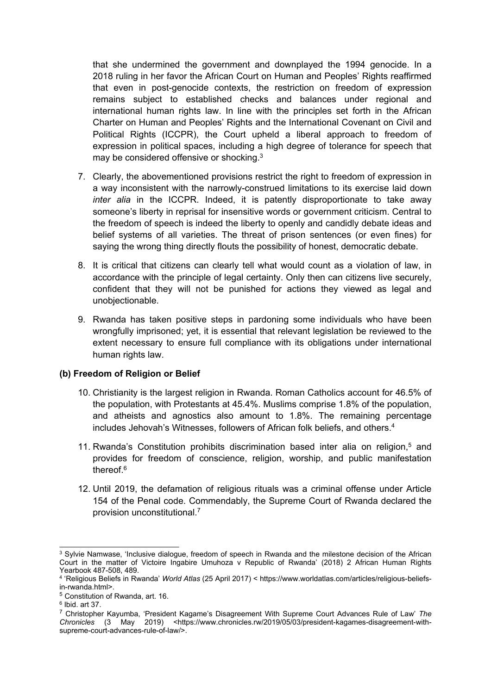that she undermined the government and downplayed the 1994 genocide. In <sup>a</sup> 2018 ruling in her favor the African Court on Human and Peoples' Rights reaffirmed that even in post-genocide contexts, the restriction on freedom of expression remains subject to established checks and balances under regional and international human rights law. In line with the principles set forth in the African Charter on Human and Peoples' Rights and the International Covenant on Civil and Political Rights (ICCPR), the Court upheld <sup>a</sup> liberal approach to freedom of expression in political spaces, including <sup>a</sup> high degree of tolerance for speech that may be considered offensive or shocking. $^3$ 

- 7. Clearly, the abovementioned provisions restrict the right to freedom of expression in <sup>a</sup> way inconsistent with the narrowly-construed limitations to its exercise laid down *inter alia* in the ICCPR. Indeed, it is patently disproportionate to take away someone'<sup>s</sup> liberty in reprisal for insensitive words or government criticism. Central to the freedom of speech is indeed the liberty to openly and candidly debate ideas and belief systems of all varieties. The threat of prison sentences (or even fines) for saying the wrong thing directly flouts the possibility of honest, democratic debate.
- 8. It is critical that citizens can clearly tell what would count as <sup>a</sup> violation of law, in accordance with the principle of legal certainty. Only then can citizens live securely, confident that they will not be punished for actions they viewed as legal and unobjectionable.
- 9. Rwanda has taken positive steps in pardoning some individuals who have been wrongfully imprisoned; yet, it is essential that relevant legislation be reviewed to the extent necessary to ensure full compliance with its obligations under international human rights law.

#### **(b) Freedom of Religion or Belief**

- 10. Christianity is the largest religion in Rwanda. Roman Catholics account for 46.5% of the population, with Protestants at 45.4%. Muslims comprise 1.8% of the population, and atheists and agnostics also amount to 1.8%. The remaining percentage includes Jehovah'<sup>s</sup> Witnesses, followers of African folk beliefs, and others. 4
- 11. Rwanda'<sup>s</sup> Constitution prohibits discrimination based inter alia on religion, 5 and provides for freedom of conscience, religion, worship, and public manifestation thereof. 6
- 12. Until 2019, the defamation of religious rituals was <sup>a</sup> criminal offense under Article 154 of the Penal code. Commendably, the Supreme Court of Rwanda declared the provision unconstitutional. 7

<sup>&</sup>lt;sup>3</sup> Sylvie Namwase, 'Inclusive dialogue, freedom of speech in Rwanda and the milestone decision of the African Court in the matter of Victoire Ingabire Umuhoza <sup>v</sup> Republic of Rwanda' (2018) 2 African Human Rights Yearbook 487-508, 489.

<sup>4</sup> 'Religious Beliefs in Rwanda' *World Atlas* (25 April 2017) <sup>&</sup>lt; https://www.worldatlas.com/articles/religious-beliefsin-rwanda.html>.

<sup>5</sup> Constitution of Rwanda, art. 16.

<sup>6</sup> Ibid. art 37.

<sup>7</sup> Christopher Kayumba, 'President Kagame'<sup>s</sup> Disagreement With Supreme Court Advances Rule of Law' *The Chronicles* (3 May 2019) <https://www.chronicles.rw/2019/05/03/president-kagames-disagreement-withsupreme-court-advances-rule-of-law/>.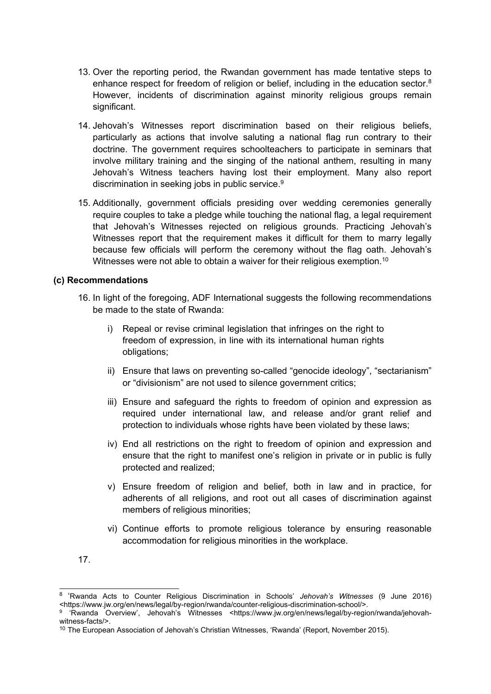- 13. Over the reporting period, the Rwandan government has made tentative steps to enhance respect for freedom of religion or belief, including in the education sector. $^8$ However, incidents of discrimination against minority religious groups remain significant.
- 14. Jehovah'<sup>s</sup> Witnesses report discrimination based on their religious beliefs, particularly as actions that involve saluting <sup>a</sup> national flag run contrary to their doctrine. The government requires schoolteachers to participate in seminars that involve military training and the singing of the national anthem, resulting in many Jehovah'<sup>s</sup> Witness teachers having lost their employment. Many also report discrimination in seeking jobs in public service. 9
- 15. Additionally, government officials presiding over wedding ceremonies generally require couples to take <sup>a</sup> pledge while touching the national flag, <sup>a</sup> legal requirement that Jehovah'<sup>s</sup> Witnesses rejected on religious grounds. Practicing Jehovah'<sup>s</sup> Witnesses report that the requirement makes it difficult for them to marry legally because few officials will perform the ceremony without the flag oath. Jehovah'<sup>s</sup> Witnesses were not able to obtain a waiver for their religious exemption. $^{\rm 10}$

#### **(c) Recommendations**

- 16. In light of the foregoing, ADF International suggests the following recommendations be made to the state of Rwanda:
	- i) Repeal or revise criminal legislation that infringes on the right to freedom of expression, in line with its international human rights obligations;
	- ii) Ensure that laws on preventing so-called "genocide ideology", "sectarianism" or "divisionism" are not used to silence government critics;
	- iii) Ensure and safeguard the rights to freedom of opinion and expression as required under international law, and release and/or grant relief and protection to individuals whose rights have been violated by these laws;
	- iv) End all restrictions on the right to freedom of opinion and expression and ensure that the right to manifest one'<sup>s</sup> religion in private or in public is fully protected and realized;
	- v) Ensure freedom of religion and belief, both in law and in practice, for adherents of all religions, and root out all cases of discrimination against members of religious minorities;
	- vi) Continue efforts to promote religious tolerance by ensuring reasonable accommodation for religious minorities in the workplace.
- 17.

<sup>8</sup> 'Rwanda Acts to Counter Religious Discrimination in Schools' *Jehovah'<sup>s</sup> Witnesses* (9 June 2016) <https://www.jw.org/en/news/legal/by-region/rwanda/counter-religious-discrimination-school/>.

<sup>9</sup> 'Rwanda Overview', Jehovah'<sup>s</sup> Witnesses <https://www.jw.org/en/news/legal/by-region/rwanda/jehovahwitness-facts/>.

 $^{\rm 10}$  The European Association of Jehovah's Christian Witnesses, 'Rwanda' (Report, November 2015).